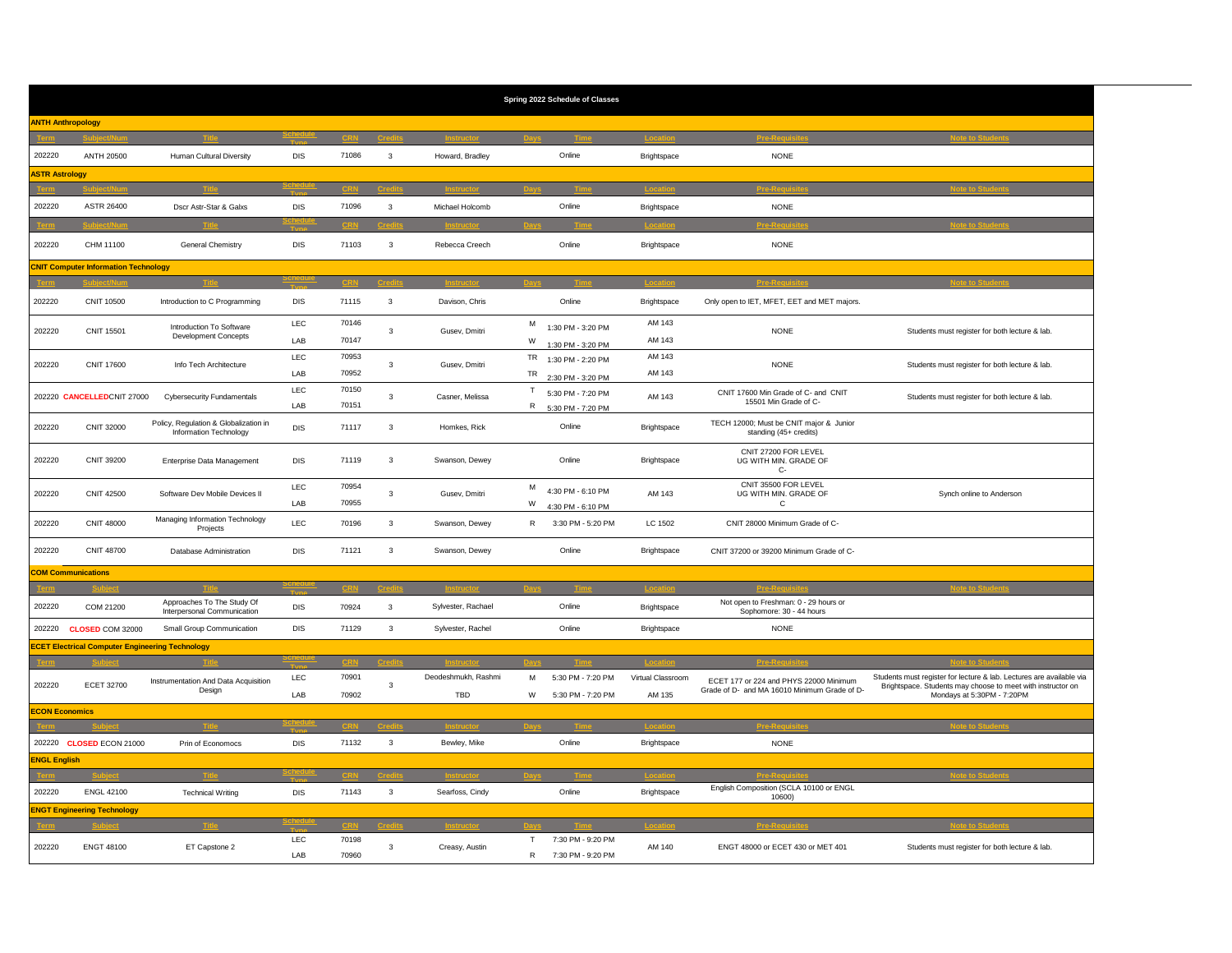| Spring 2022 Schedule of Classes              |                                                        |                                                                 |                    |                |              |                            |        |                                        |                             |                                                                                        |                                                                                                                                                                   |  |
|----------------------------------------------|--------------------------------------------------------|-----------------------------------------------------------------|--------------------|----------------|--------------|----------------------------|--------|----------------------------------------|-----------------------------|----------------------------------------------------------------------------------------|-------------------------------------------------------------------------------------------------------------------------------------------------------------------|--|
| <b>ANTH Anthropology</b>                     |                                                        |                                                                 |                    |                |              |                            |        |                                        |                             |                                                                                        |                                                                                                                                                                   |  |
|                                              | uhioet/Num                                             |                                                                 |                    |                |              | Instruct                   |        |                                        | Location                    | <b>Pre-Requisite</b>                                                                   | <b>Note to Students</b>                                                                                                                                           |  |
| 202220                                       | <b>ANTH 20500</b>                                      | Human Cultural Diversity                                        | DIS                | 71086          | $\mathbf{3}$ | Howard, Bradley            |        | Online                                 | Brightspace                 | <b>NONE</b>                                                                            |                                                                                                                                                                   |  |
| <b>ASTR Astrology</b>                        |                                                        |                                                                 |                    |                |              |                            |        |                                        |                             |                                                                                        |                                                                                                                                                                   |  |
|                                              |                                                        |                                                                 |                    |                |              |                            |        |                                        |                             |                                                                                        |                                                                                                                                                                   |  |
| 202220                                       | ASTR 26400                                             | Dscr Astr-Star & Galxs                                          | <b>DIS</b>         | 71096          | $\mathbf{3}$ | Michael Holcomb            |        | Online                                 | Brightspace                 | <b>NONE</b>                                                                            |                                                                                                                                                                   |  |
|                                              |                                                        |                                                                 |                    |                |              |                            |        |                                        |                             |                                                                                        |                                                                                                                                                                   |  |
| 202220                                       | CHM 11100                                              | General Chemistry                                               | <b>DIS</b>         | 71103          | 3            | Rebecca Creech             |        | Online                                 | Brightspace                 | <b>NONE</b>                                                                            |                                                                                                                                                                   |  |
| <b>CNIT Computer Information Technology</b>  |                                                        |                                                                 |                    |                |              |                            |        |                                        |                             |                                                                                        |                                                                                                                                                                   |  |
|                                              |                                                        |                                                                 |                    |                |              |                            |        |                                        |                             |                                                                                        |                                                                                                                                                                   |  |
| 202220                                       | <b>CNIT 10500</b>                                      | Introduction to C Programming                                   | DIS                | 71115          | $\mathbf{3}$ | Davison, Chris             |        | Online                                 | Brightspace                 | Only open to IET, MFET, EET and MET majors.                                            |                                                                                                                                                                   |  |
|                                              |                                                        | Introduction To Software                                        | LEC                | 70146          | $\mathbf{3}$ | Gusev, Dmitri              |        | M 1:30 PM - 3:20 PM                    | AM 143                      |                                                                                        |                                                                                                                                                                   |  |
| 202220                                       | <b>CNIT 15501</b>                                      | <b>Development Concepts</b>                                     | LAB                | 70147          |              |                            | W      | 1:30 PM - 3:20 PM                      | AM 143                      | <b>NONE</b>                                                                            | Students must register for both lecture & lab.                                                                                                                    |  |
|                                              |                                                        |                                                                 | LEC                | 70953          |              | Gusev, Dmitri              |        | TR 1:30 PM - 2:20 PM                   | AM 143                      | <b>NONE</b>                                                                            |                                                                                                                                                                   |  |
| 202220                                       | <b>CNIT 17600</b>                                      | Info Tech Architecture                                          | LAB                | 70952          | $\mathbf{3}$ |                            |        | TR 2:30 PM - 3:20 PM                   | AM 143                      |                                                                                        | Students must register for both lecture & lab.                                                                                                                    |  |
|                                              |                                                        | <b>Cybersecurity Fundamentals</b>                               | LEC                | 70150          | $\mathbf{3}$ |                            |        | T 5:30 PM - 7:20 PM                    | AM 143                      | CNIT 17600 Min Grade of C- and CNIT<br>15501 Min Grade of C-                           |                                                                                                                                                                   |  |
|                                              | 202220 CANCELLEDCNIT 27000                             |                                                                 | LAB                | 70151          |              | Casner, Melissa            |        | R 5:30 PM - 7:20 PM                    |                             |                                                                                        | Students must register for both lecture & lab.                                                                                                                    |  |
| 202220                                       | CNIT 32000                                             | Policy, Regulation & Globalization in<br>Information Technology | DIS                | 71117          | $\mathbf{3}$ | Homkes, Rick               |        | Online                                 | Brightspace                 | TECH 12000; Must be CNIT major & Junior<br>standing (45+ credits)                      |                                                                                                                                                                   |  |
| 202220                                       | CNIT 39200                                             | Enterprise Data Management                                      | DIS                | 71119          | $\mathbf{3}$ | Swanson, Dewey             |        | Online                                 | Brightspace                 | CNIT 27200 FOR LEVEL<br>UG WITH MIN. GRADE OF<br>$C -$                                 |                                                                                                                                                                   |  |
| 202220                                       | <b>CNIT 42500</b>                                      | Software Dev Mobile Devices II                                  | LEC                | 70954          | $\mathbf{3}$ | Gusev, Dmitri              | м      | 4:30 PM - 6:10 PM                      | AM 143                      | CNIT 35500 FOR LEVEL<br>UG WITH MIN. GRADE OF                                          | Synch online to Anderson                                                                                                                                          |  |
|                                              |                                                        |                                                                 | LAB                | 70955          |              |                            | W      | 4:30 PM - 6:10 PM                      |                             | $\mathtt{C}$                                                                           |                                                                                                                                                                   |  |
| 202220                                       | <b>CNIT 48000</b>                                      | Managing Information Technology<br>Projects                     | LEC                | 70196          | $\mathbf{3}$ | Swanson, Dewey             | R      | 3:30 PM - 5:20 PM                      | LC 1502                     | CNIT 28000 Minimum Grade of C-                                                         |                                                                                                                                                                   |  |
| 202220                                       | <b>CNIT 48700</b>                                      | Database Administration                                         | DIS                | 71121          | $\mathbf{3}$ | Swanson, Dewey             |        | Online                                 | Brightspace                 | CNIT 37200 or 39200 Minimum Grade of C-                                                |                                                                                                                                                                   |  |
|                                              | <b>COM Communications</b>                              |                                                                 |                    |                |              |                            |        |                                        |                             |                                                                                        |                                                                                                                                                                   |  |
|                                              |                                                        |                                                                 |                    |                |              |                            |        |                                        |                             |                                                                                        |                                                                                                                                                                   |  |
| 202220                                       | COM 21200                                              | Approaches To The Study Of<br>Interpersonal Communication       | DIS                | 70924          | $\mathbf{3}$ | Sylvester, Rachael         |        | Online                                 | Brightspace                 | Not open to Freshman: 0 - 29 hours or<br>Sophomore: 30 - 44 hours                      |                                                                                                                                                                   |  |
| 202220                                       | CLOSED COM 32000                                       | Small Group Communication                                       | DIS                | 71129          | $\mathbf{3}$ | Sylvester, Rachel          |        | Online                                 | Brightspace                 | <b>NONE</b>                                                                            |                                                                                                                                                                   |  |
|                                              | <b>ECET Electrical Computer Engineering Technology</b> |                                                                 |                    |                |              |                            |        |                                        |                             |                                                                                        |                                                                                                                                                                   |  |
|                                              |                                                        |                                                                 |                    |                |              |                            |        |                                        | <b>Location</b>             | <b>Pre-Requisite</b>                                                                   | <b>Note to Student</b>                                                                                                                                            |  |
| 202220                                       | <b>ECET 32700</b>                                      | Instrumentation And Data Acquisition<br>Design                  | ${\sf LEC}$<br>LAB | 70901<br>70902 | 3            | Deodeshmukh, Rashmi<br>TBD | м<br>W | 5:30 PM - 7:20 PM<br>5:30 PM - 7:20 PM | Virtual Classroom<br>AM 135 | ECET 177 or 224 and PHYS 22000 Minimum<br>Grade of D- and MA 16010 Minimum Grade of D- | Students must register for lecture & lab. Lectures are available via<br>Brightspace. Students may choose to meet with instructor on<br>Mondays at 5:30PM - 7:20PM |  |
| <b>ECON Economics</b>                        |                                                        |                                                                 |                    |                |              |                            |        |                                        |                             |                                                                                        |                                                                                                                                                                   |  |
|                                              |                                                        |                                                                 |                    |                |              |                            |        |                                        | <b>Longita</b>              | and Damin                                                                              |                                                                                                                                                                   |  |
|                                              |                                                        | Prin of Economocs                                               | DIS                | 71132          | $\mathbf{3}$ | Bewley, Mike               |        | Online                                 | Brightspace                 | <b>NONE</b>                                                                            |                                                                                                                                                                   |  |
|                                              | 202220 CLOSED ECON 21000<br><b>ENGL English</b>        |                                                                 |                    |                |              |                            |        |                                        |                             |                                                                                        |                                                                                                                                                                   |  |
|                                              |                                                        |                                                                 |                    |                |              |                            |        |                                        |                             |                                                                                        |                                                                                                                                                                   |  |
| 202220                                       | <b>ENGL 42100</b>                                      | <b>Technical Writing</b>                                        | DIS                | 71143          | $\mathbf{3}$ | Searfoss, Cindy            |        | Online                                 | Brightspace                 | English Composition (SCLA 10100 or ENGL                                                |                                                                                                                                                                   |  |
| 10600)<br><b>ENGT Engineering Technology</b> |                                                        |                                                                 |                    |                |              |                            |        |                                        |                             |                                                                                        |                                                                                                                                                                   |  |
| ote to Stude                                 |                                                        |                                                                 |                    |                |              |                            |        |                                        |                             |                                                                                        |                                                                                                                                                                   |  |
|                                              |                                                        |                                                                 | LEC                | 70198          |              |                            | T      | 7:30 PM - 9:20 PM                      |                             |                                                                                        |                                                                                                                                                                   |  |
| 202220                                       | <b>ENGT 48100</b>                                      | ET Capstone 2                                                   | LAB                | 70960          | $\mathbf{3}$ | Creasy, Austin             | R      | 7:30 PM - 9:20 PM                      | AM 140                      | ENGT 48000 or ECET 430 or MET 401                                                      | Students must register for both lecture & lab.                                                                                                                    |  |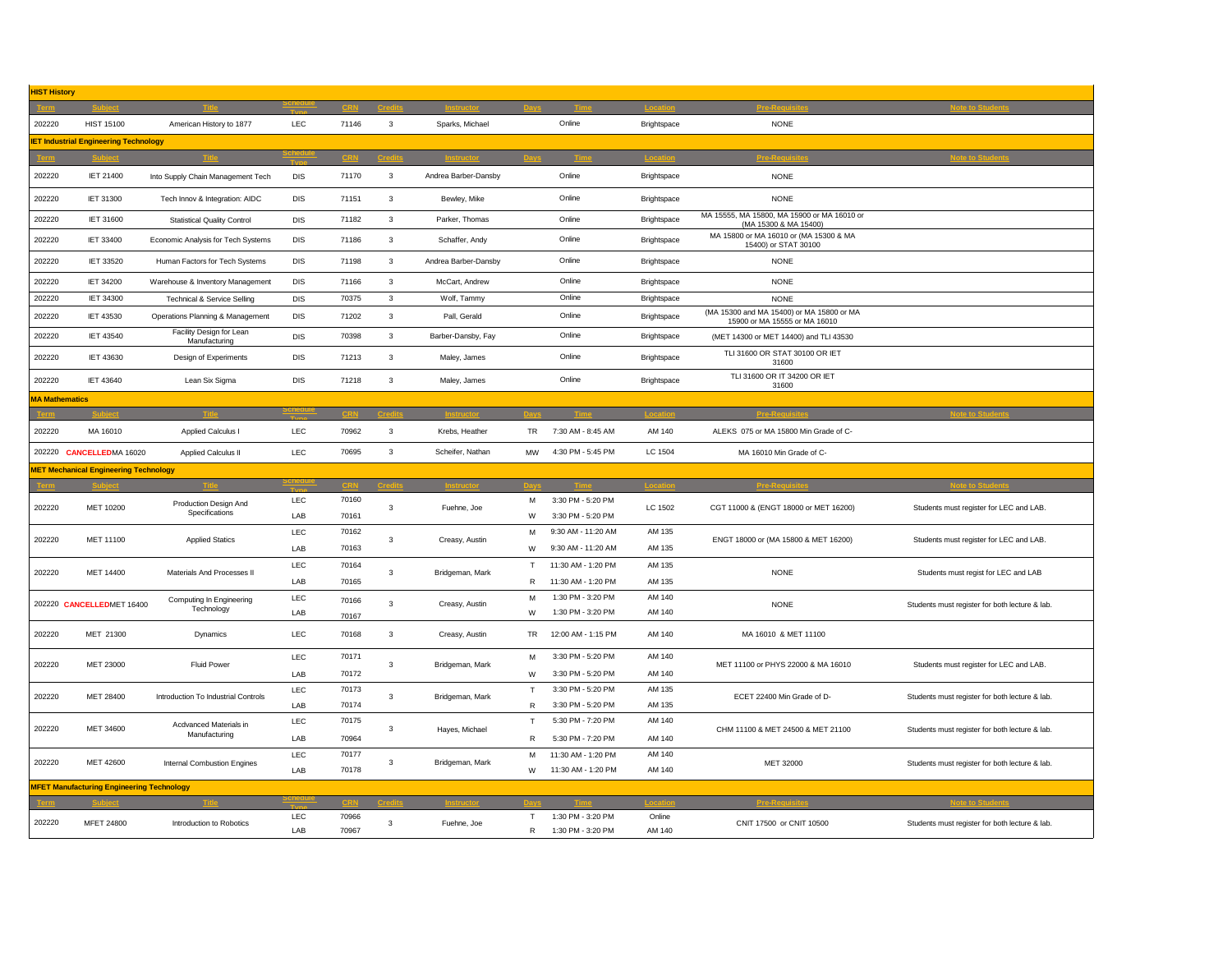| <b>HIST History</b> |                                                  |                                           |              |                |                         |                          |                     |                                        |                  |                                                                            |                                                |  |
|---------------------|--------------------------------------------------|-------------------------------------------|--------------|----------------|-------------------------|--------------------------|---------------------|----------------------------------------|------------------|----------------------------------------------------------------------------|------------------------------------------------|--|
|                     |                                                  |                                           |              |                |                         |                          |                     |                                        |                  |                                                                            |                                                |  |
| 202220              | HIST 15100                                       | American History to 1877                  | LEC          | 71146          | 3                       | Sparks, Michael          |                     | Online                                 | Brightspace      | <b>NONE</b>                                                                |                                                |  |
|                     | <b>IET Industrial Engineering Technology</b>     |                                           |              |                |                         |                          |                     |                                        |                  |                                                                            |                                                |  |
|                     | <b>Subject</b>                                   |                                           |              |                |                         |                          |                     |                                        |                  |                                                                            |                                                |  |
| 202220              | <b>IET 21400</b>                                 | Into Supply Chain Management Tech         | <b>DIS</b>   | 71170          | $\mathbf{3}$            | Andrea Barber-Dansby     |                     | Online                                 | Brightspace      | <b>NONE</b>                                                                |                                                |  |
| 202220              | IET 31300                                        | Tech Innov & Integration: AIDC            | <b>DIS</b>   | 71151          | $\mathbf{3}$            | Bewley, Mike             |                     | Online                                 | Brightspace      | <b>NONE</b>                                                                |                                                |  |
| 202220              | IET 31600                                        | <b>Statistical Quality Control</b>        | <b>DIS</b>   | 71182          | $\mathbf{3}$            | Parker, Thomas           |                     | Online                                 | Brightspace      | MA 15555, MA 15800, MA 15900 or MA 16010 or<br>(MA 15300 & MA 15400)       |                                                |  |
| 202220              | IET 33400                                        | Economic Analysis for Tech Systems        | DIS          | 71186          | 3                       | Schaffer, Andy           |                     | Online                                 | Brightspace      | MA 15800 or MA 16010 or (MA 15300 & MA<br>15400) or STAT 30100             |                                                |  |
| 202220              | IET 33520                                        | Human Factors for Tech Systems            | DIS          | 71198          | $\mathbf{3}$            | Andrea Barber-Dansby     |                     | Online                                 | Brightspace      | <b>NONE</b>                                                                |                                                |  |
| 202220              | <b>IET 34200</b>                                 | Warehouse & Inventory Management          | <b>DIS</b>   | 71166          | 3                       | McCart, Andrew           |                     | Online                                 | Brightspace      | <b>NONE</b>                                                                |                                                |  |
| 202220              | IET 34300                                        | <b>Technical &amp; Service Selling</b>    | DIS          | 70375          | $\mathbf{3}$            | Wolf, Tammy              |                     | Online                                 | Brightspace      | <b>NONE</b>                                                                |                                                |  |
| 202220              | IET 43530                                        | Operations Planning & Management          | <b>DIS</b>   | 71202          | $\mathbf{3}$            | Pall, Gerald             |                     | Online                                 | Brightspace      | (MA 15300 and MA 15400) or MA 15800 or MA<br>15900 or MA 15555 or MA 16010 |                                                |  |
| 202220              | <b>IET 43540</b>                                 | Facility Design for Lean<br>Manufacturing | DIS          | 70398          | $\mathbf{3}$            | Barber-Dansby, Fay       |                     | Online                                 | Brightspace      | (MET 14300 or MET 14400) and TLI 43530                                     |                                                |  |
| 202220              | IET 43630                                        | Design of Experiments                     | <b>DIS</b>   | 71213          | $\mathbf{3}$            | Maley, James             |                     | Online                                 | Brightspace      | TLI 31600 OR STAT 30100 OR IET<br>31600                                    |                                                |  |
| 202220              | <b>IET 43640</b>                                 | Lean Six Sigma                            | <b>DIS</b>   | 71218          | 3                       | Maley, James             |                     | Online                                 | Brightspace      | TLI 31600 OR IT 34200 OR IET<br>31600                                      |                                                |  |
|                     | <b>MA Mathematics</b>                            |                                           |              |                |                         |                          |                     |                                        |                  |                                                                            |                                                |  |
|                     |                                                  |                                           |              |                |                         |                          |                     |                                        |                  |                                                                            |                                                |  |
| 202220              | MA 16010                                         | Applied Calculus I                        | LEC          | 70962          | $\mathbf{3}$            | Krebs, Heather           | <b>TR</b>           | 7:30 AM - 8:45 AM                      | AM 140           | ALEKS 075 or MA 15800 Min Grade of C-                                      |                                                |  |
| 202220              | <b>CANCELLEDMA 16020</b>                         | Applied Calculus II                       | LEC          | 70695          | $\mathbf{3}$            | Scheifer, Nathan         | MW                  | 4:30 PM - 5:45 PM                      | LC 1504          | MA 16010 Min Grade of C-                                                   |                                                |  |
|                     | <b>MET Mechanical Engineering Technology</b>     |                                           |              |                |                         |                          |                     |                                        |                  |                                                                            |                                                |  |
|                     |                                                  |                                           |              |                |                         |                          |                     |                                        |                  |                                                                            |                                                |  |
| 202220              | MET 10200                                        | Production Design And<br>Specifications   | LEC          | 70160          | $\mathbf{3}$            | Fuehne, Joe              | M                   | 3:30 PM - 5:20 PM                      | LC 1502          | CGT 11000 & (ENGT 18000 or MET 16200)                                      | Students must register for LEC and LAB.        |  |
|                     |                                                  |                                           | LAB          | 70161          |                         |                          | W                   | 3:30 PM - 5:20 PM                      |                  |                                                                            |                                                |  |
| 202220              | MET 11100                                        | <b>Applied Statics</b>                    | LEC          | 70162          | $\mathbf{3}$            |                          | M<br>Creasy, Austin | 9:30 AM - 11:20 AM                     | AM 135           | ENGT 18000 or (MA 15800 & MET 16200)                                       | Students must register for LEC and LAB.        |  |
|                     |                                                  |                                           | LAB          | 70163          |                         |                          | W                   | 9:30 AM - 11:20 AM                     | AM 135           |                                                                            |                                                |  |
| 202220              | MET 14400                                        | Materials And Processes II                | LEC<br>70164 | $\mathbf{3}$   | Bridgeman, Mark         | $\mathsf T$              | 11:30 AM - 1:20 PM  | AM 135                                 | <b>NONE</b>      | Students must regist for LEC and LAB                                       |                                                |  |
|                     |                                                  |                                           | LAB          | 70165          |                         |                          | R                   | 11:30 AM - 1:20 PM                     | AM 135           |                                                                            |                                                |  |
|                     | 202220 CANCELLEDMET 16400                        | Computing In Engineering<br>Technology    |              | LEC            | 70166<br>$\mathbf{3}$   | Creasy, Austin           | М                   | 1:30 PM - 3:20 PM                      | AM 140           | <b>NONE</b>                                                                | Students must register for both lecture & lab. |  |
|                     |                                                  |                                           | LAB          | 70167          |                         |                          | W                   | 1:30 PM - 3:20 PM                      | AM 140           |                                                                            |                                                |  |
| 202220              | MET 21300                                        | Dynamics                                  | LEC          | 70168          | $\mathbf{3}$            | Creasy, Austin           | TR                  | 12:00 AM - 1:15 PM                     | AM 140           | MA 16010 & MET 11100                                                       |                                                |  |
| 202220              | MET 23000                                        | <b>Fluid Power</b>                        | <b>LEC</b>   | 70171          | $\overline{\mathbf{3}}$ | Bridgeman, Mark          | M                   | 3:30 PM - 5:20 PM                      | AM 140           | MET 11100 or PHYS 22000 & MA 16010                                         | Students must register for LEC and LAB.        |  |
|                     |                                                  |                                           | LAB          | 70172          |                         |                          | W                   | 3:30 PM - 5:20 PM                      | AM 140           |                                                                            |                                                |  |
| 202220              | MET 28400                                        | Introduction To Industrial Controls       | LEC          | 70173          | 3                       | Bridgeman, Mark          | T                   | 3:30 PM - 5:20 PM                      | AM 135           | ECET 22400 Min Grade of D-                                                 | Students must register for both lecture & lab. |  |
|                     |                                                  |                                           | LAB          | 70174          |                         |                          | R                   | 3:30 PM - 5:20 PM                      | AM 135           |                                                                            |                                                |  |
| 202220              | MET 34600                                        | Acdvanced Materials in<br>Manufacturing   | LEC          | 70175          | 3                       | T<br>Hayes, Michael<br>R |                     | 5:30 PM - 7:20 PM                      | AM 140           | CHM 11100 & MET 24500 & MET 21100                                          | Students must register for both lecture & lab. |  |
|                     |                                                  |                                           | LAB          | 70964          |                         |                          |                     | 5:30 PM - 7:20 PM                      | AM 140           |                                                                            |                                                |  |
|                     |                                                  |                                           |              | 70177          |                         |                          | M                   | 11:30 AM - 1:20 PM                     | AM 140           |                                                                            |                                                |  |
|                     |                                                  |                                           | LEC          |                |                         |                          |                     |                                        |                  |                                                                            |                                                |  |
| 202220              | MET 42600                                        | Internal Combustion Engines               | LAB          | 70178          | $\mathbf{3}$            | Bridgeman, Mark          | W                   | 11:30 AM - 1:20 PM                     | AM 140           | MET 32000                                                                  | Students must register for both lecture & lab. |  |
|                     | <b>MFET Manufacturing Engineering Technology</b> |                                           |              |                |                         |                          |                     |                                        |                  |                                                                            |                                                |  |
|                     |                                                  |                                           |              |                |                         |                          |                     |                                        |                  |                                                                            |                                                |  |
| 202220              | MFET 24800                                       | Introduction to Robotics                  | LEC<br>LAB   | 70966<br>70967 | 3                       | Fuehne, Joe              | T<br>$\mathsf{R}$   | 1:30 PM - 3:20 PM<br>1:30 PM - 3:20 PM | Online<br>AM 140 | CNIT 17500 or CNIT 10500                                                   | Students must register for both lecture & lab. |  |